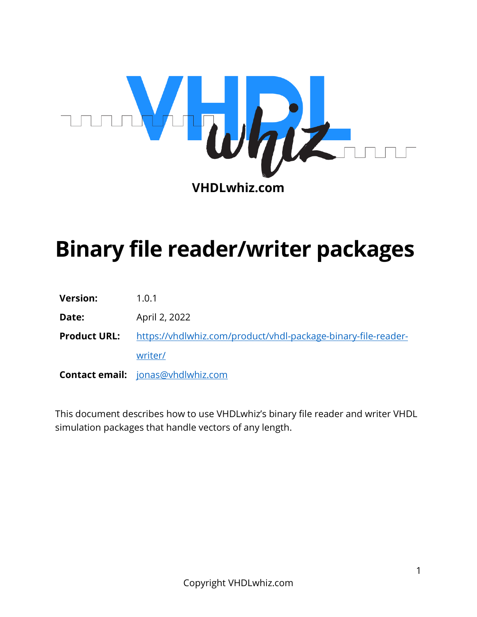

# **Binary file reader/writer packages**

| <b>Version:</b>     | 1.0.1                                                         |
|---------------------|---------------------------------------------------------------|
| Date:               | April 2, 2022                                                 |
| <b>Product URL:</b> | https://vhdlwhiz.com/product/vhdl-package-binary-file-reader- |
|                     | writer/                                                       |
|                     | <b>Contact email:</b> jonas@vhdlwhiz.com                      |

This document describes how to use VHDLwhiz's binary file reader and writer VHDL simulation packages that handle vectors of any length.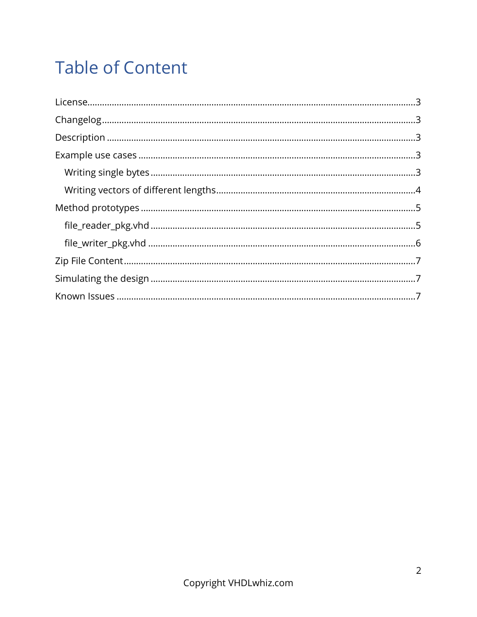## **Table of Content**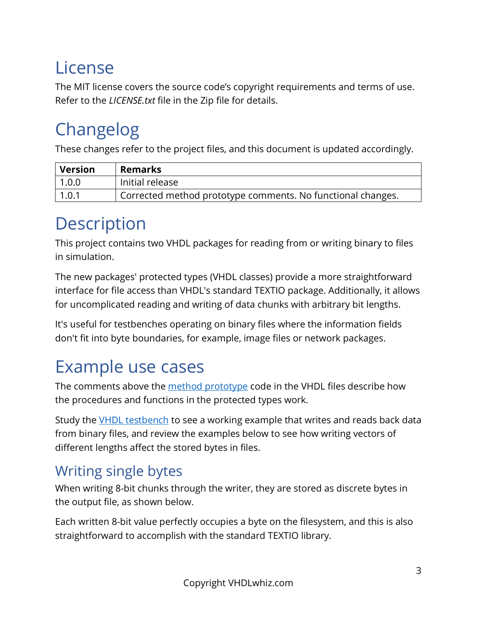### <span id="page-2-0"></span>License

The MIT license covers the source code's copyright requirements and terms of use. Refer to the *LICENSE.txt* file in the Zip file for details.

### <span id="page-2-1"></span>Changelog

These changes refer to the project files, and this document is updated accordingly.

| Version | <b>Remarks</b>                                              |
|---------|-------------------------------------------------------------|
| 1.0.0   | Initial release                                             |
| 1.0.1   | Corrected method prototype comments. No functional changes. |

### <span id="page-2-2"></span>Description

This project contains two VHDL packages for reading from or writing binary to files in simulation.

The new packages' protected types (VHDL classes) provide a more straightforward interface for file access than VHDL's standard TEXTIO package. Additionally, it allows for uncomplicated reading and writing of data chunks with arbitrary bit lengths.

It's useful for testbenches operating on binary files where the information fields don't fit into byte boundaries, for example, image files or network packages.

### <span id="page-2-3"></span>Example use cases

The comments above the [method prototype](#page-4-0) code in the VHDL files describe how the procedures and functions in the protected types work.

Study the [VHDL testbench](#page-6-1) to see a working example that writes and reads back data from binary files, and review the examples below to see how writing vectors of different lengths affect the stored bytes in files.

### <span id="page-2-4"></span>Writing single bytes

When writing 8-bit chunks through the writer, they are stored as discrete bytes in the output file, as shown below.

Each written 8-bit value perfectly occupies a byte on the filesystem, and this is also straightforward to accomplish with the standard TEXTIO library.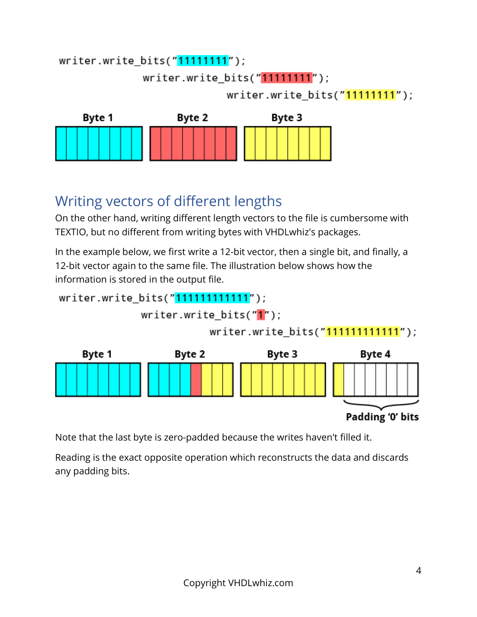#### writer.write\_bits("11111111");

writer.write bits("11111111");

writer.write\_bits("11111111");



#### <span id="page-3-0"></span>Writing vectors of different lengths

On the other hand, writing different length vectors to the file is cumbersome with TEXTIO, but no different from writing bytes with VHDLwhiz's packages.

In the example below, we first write a 12-bit vector, then a single bit, and finally, a 12-bit vector again to the same file. The illustration below shows how the information is stored in the output file.

writer.write\_bits("111111111111");

writer.write bits("1");

writer.write\_bits("111111111111");



Note that the last byte is zero-padded because the writes haven't filled it.

Reading is the exact opposite operation which reconstructs the data and discards any padding bits.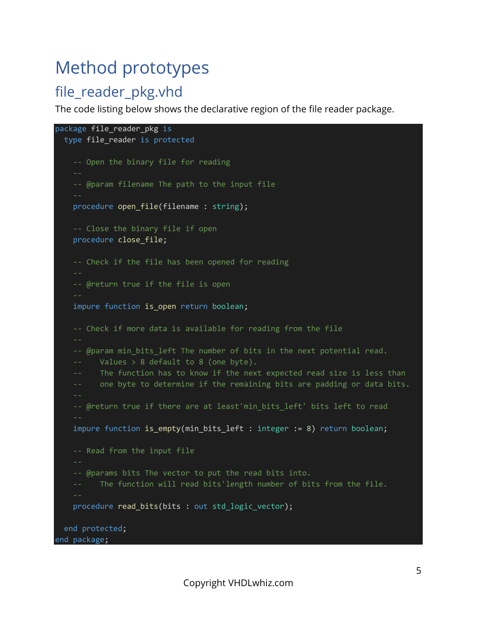### <span id="page-4-0"></span>Method prototypes

#### <span id="page-4-1"></span>file\_reader\_pkg.vhd

The code listing below shows the declarative region of the file reader package.

```
package file_reader_pkg is
   type file_reader is protected
     -- Open the binary file for reading
     -- @param filename The path to the input file
     procedure open_file(filename : string);
     -- Close the binary file if open
     procedure close_file; 
     -- Check if the file has been opened for reading
     -- @return true if the file is open
     impure function is_open return boolean; 
     -- Check if more data is available for reading from the file
    -- @param min_bits_left The number of bits in the next potential read.
          Values > 8 default to 8 (one byte).
          The function has to know if the next expected read size is less than
          one byte to determine if the remaining bits are padding or data bits.
    -- @return true if there are at least'min_bits_left' bits left to read
    impure function is_empty(min_bits_left : integer := 8) return boolean;
     -- Read from the input file
     -- @params bits The vector to put the read bits into.
     -- The function will read bits'length number of bits from the file.
     procedure read_bits(bits : out std_logic_vector);
   end protected; 
end package;
```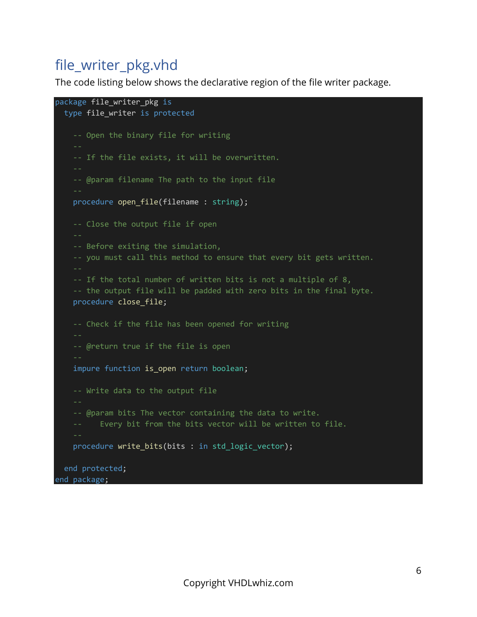#### <span id="page-5-0"></span>file\_writer\_pkg.vhd

The code listing below shows the declarative region of the file writer package.

```
package file_writer_pkg is
  type file writer is protected
     -- Open the binary file for writing
     -- If the file exists, it will be overwritten.
     -- @param filename The path to the input file
    procedure open file(filename : string);
     -- Close the output file if open
     -- Before exiting the simulation,
     -- you must call this method to ensure that every bit gets written.
     -- If the total number of written bits is not a multiple of 8,
     -- the output file will be padded with zero bits in the final byte.
     procedure close_file; 
     -- Check if the file has been opened for writing
     -- @return true if the file is open
     impure function is_open return boolean; 
     -- Write data to the output file
     -- @param bits The vector containing the data to write.
     -- Every bit from the bits vector will be written to file.
    procedure write bits(bits : in std logic vector);
   end protected; 
end package;
```